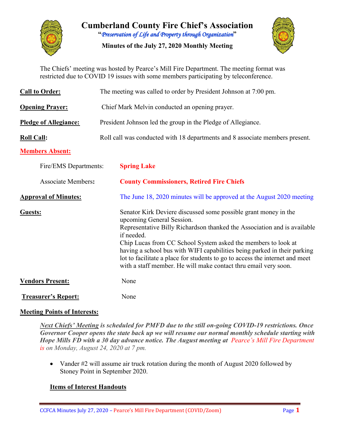

**Cumberland County Fire Chief's Association "***Preservation of Life and Property through Organization***"**

**Minutes of the July 27, 2020 Monthly Meeting**



The Chiefs' meeting was hosted by Pearce's Mill Fire Department. The meeting format was restricted due to COVID 19 issues with some members participating by teleconference.

| <b>Call to Order:</b>        | The meeting was called to order by President Johnson at 7:00 pm.                                                                                                                                                                                                                                                                                                                                                                                                                       |  |  |  |  |  |  |  |
|------------------------------|----------------------------------------------------------------------------------------------------------------------------------------------------------------------------------------------------------------------------------------------------------------------------------------------------------------------------------------------------------------------------------------------------------------------------------------------------------------------------------------|--|--|--|--|--|--|--|
| <b>Opening Prayer:</b>       | Chief Mark Melvin conducted an opening prayer.                                                                                                                                                                                                                                                                                                                                                                                                                                         |  |  |  |  |  |  |  |
| <b>Pledge of Allegiance:</b> | President Johnson led the group in the Pledge of Allegiance.                                                                                                                                                                                                                                                                                                                                                                                                                           |  |  |  |  |  |  |  |
| <b>Roll Call:</b>            | Roll call was conducted with 18 departments and 8 associate members present.                                                                                                                                                                                                                                                                                                                                                                                                           |  |  |  |  |  |  |  |
| <b>Members Absent:</b>       |                                                                                                                                                                                                                                                                                                                                                                                                                                                                                        |  |  |  |  |  |  |  |
| Fire/EMS Departments:        | <b>Spring Lake</b>                                                                                                                                                                                                                                                                                                                                                                                                                                                                     |  |  |  |  |  |  |  |
| <b>Associate Members:</b>    | <b>County Commissioners, Retired Fire Chiefs</b>                                                                                                                                                                                                                                                                                                                                                                                                                                       |  |  |  |  |  |  |  |
| <b>Approval of Minutes:</b>  | The June 18, 2020 minutes will be approved at the August 2020 meeting                                                                                                                                                                                                                                                                                                                                                                                                                  |  |  |  |  |  |  |  |
| Guests:                      | Senator Kirk Deviere discussed some possible grant money in the<br>upcoming General Session.<br>Representative Billy Richardson thanked the Association and is available<br>if needed.<br>Chip Lucas from CC School System asked the members to look at<br>having a school bus with WIFI capabilities being parked in their parking<br>lot to facilitate a place for students to go to access the internet and meet<br>with a staff member. He will make contact thru email very soon. |  |  |  |  |  |  |  |
| <b>Vendors Present:</b>      | None                                                                                                                                                                                                                                                                                                                                                                                                                                                                                   |  |  |  |  |  |  |  |
| <b>Treasurer's Report:</b>   | None                                                                                                                                                                                                                                                                                                                                                                                                                                                                                   |  |  |  |  |  |  |  |

## **Meeting Points of Interests:**

*Next Chiefs' Meeting is scheduled for PMFD due to the still on-going COVID-19 restrictions. Once Governor Cooper opens the state back up we will resume our normal monthly schedule starting with Hope Mills FD with a 30 day advance notice. The August meeting at Pearce's Mill Fire Department is on Monday, August 24, 2020 at 7 pm.*

• Vander #2 will assume air truck rotation during the month of August 2020 followed by Stoney Point in September 2020.

## **Items of Interest Handouts**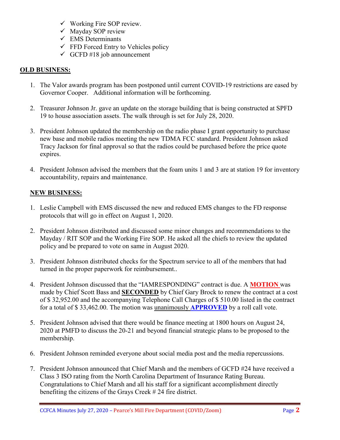- $\checkmark$  Working Fire SOP review.
- $\checkmark$  Mayday SOP review
- $\checkmark$  EMS Determinants
- $\checkmark$  FFD Forced Entry to Vehicles policy
- $\checkmark$  GCFD #18 job announcement

## **OLD BUSINESS:**

- 1. The Valor awards program has been postponed until current COVID-19 restrictions are eased by Governor Cooper. Additional information will be forthcoming.
- 2. Treasurer Johnson Jr. gave an update on the storage building that is being constructed at SPFD 19 to house association assets. The walk through is set for July 28, 2020.
- 3. President Johnson updated the membership on the radio phase I grant opportunity to purchase new base and mobile radios meeting the new TDMA FCC standard. President Johnson asked Tracy Jackson for final approval so that the radios could be purchased before the price quote expires.
- 4. President Johnson advised the members that the foam units 1 and 3 are at station 19 for inventory accountability, repairs and maintenance.

## **NEW BUSINESS:**

- 1. Leslie Campbell with EMS discussed the new and reduced EMS changes to the FD response protocols that will go in effect on August 1, 2020.
- 2. President Johnson distributed and discussed some minor changes and recommendations to the Mayday / RIT SOP and the Working Fire SOP. He asked all the chiefs to review the updated policy and be prepared to vote on same in August 2020.
- 3. President Johnson distributed checks for the Spectrum service to all of the members that had turned in the proper paperwork for reimbursement..
- 4. President Johnson discussed that the "IAMRESPONDING" contract is due. A **MOTION** was made by Chief Scott Bass and **SECONDED** by Chief Gary Brock to renew the contract at a cost of \$ 32,952.00 and the accompanying Telephone Call Charges of \$ 510.00 listed in the contract for a total of \$ 33,462.00. The motion was unanimously **APPROVED** by a roll call vote.
- 5. President Johnson advised that there would be finance meeting at 1800 hours on August 24, 2020 at PMFD to discuss the 20-21 and beyond financial strategic plans to be proposed to the membership.
- 6. President Johnson reminded everyone about social media post and the media repercussions.
- 7. President Johnson announced that Chief Marsh and the members of GCFD #24 have received a Class 3 ISO rating from the North Carolina Department of Insurance Rating Bureau. Congratulations to Chief Marsh and all his staff for a significant accomplishment directly benefiting the citizens of the Grays Creek # 24 fire district.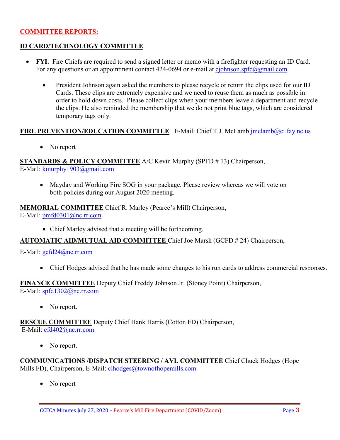## **COMMITTEE REPORTS:**

## **ID CARD/TECHNOLOGY COMMITTEE**

- **FYI.** Fire Chiefs are required to send a signed letter or memo with a firefighter requesting an ID Card. For any questions or an appointment contact 424-0694 or e-mail at [cjohnson.spfd@gmail.com](mailto:cjohnson.spfd@gmail.com)
	- President Johnson again asked the members to please recycle or return the clips used for our ID Cards. These clips are extremely expensive and we need to reuse them as much as possible in order to hold down costs. Please collect clips when your members leave a department and recycle the clips. He also reminded the membership that we do not print blue tags, which are considered temporary tags only.

### **FIRE PREVENTION/EDUCATION COMMITTEE** E-Mail: Chief T.J. McLamb [jmclamb@ci.fay.nc.us](mailto:jmclamb@ci.fay.nc.us)

• No report

**STANDARDS & POLICY COMMITTEE** A/C Kevin Murphy (SPFD # 13) Chairperson,

E-Mail: [kmurphy1903@gmail.com](mailto:kmurphy1903@gmail.com)

• Mayday and Working Fire SOG in your package. Please review whereas we will vote on both policies during our August 2020 meeting.

# **MEMORIAL COMMITTEE** Chief R. Marley (Pearce's Mill) Chairperson,

E-Mail: [pmfd0301@nc.rr.com](mailto:pmfd0301@nc.rr.com)

• Chief Marley advised that a meeting will be forthcoming.

## **AUTOMATIC AID/MUTUAL AID COMMITTEE** Chief Joe Marsh (GCFD # 24) Chairperson,

#### E-Mail: [gcfd24@nc.rr.com](mailto:gcfd24@nc.rr.com)

• Chief Hodges advised that he has made some changes to his run cards to address commercial responses.

#### **FINANCE COMMITTEE** Deputy Chief Freddy Johnson Jr. (Stoney Point) Chairperson, E-Mail: [spfd1302@nc.rr.com](mailto:spfd1302@nc.rr.com)

• No report.

**RESCUE COMMITTEE** Deputy Chief Hank Harris (Cotton FD) Chairperson, E-Mail: [cfd402@nc.rr.com](mailto:cfd402@nc.rr.com)

• No report.

**COMMUNICATIONS /DISPATCH STEERING / AVL COMMITTEE** Chief Chuck Hodges (Hope Mills FD), Chairperson, E-Mail: clhodges@townofhopemills.com

No report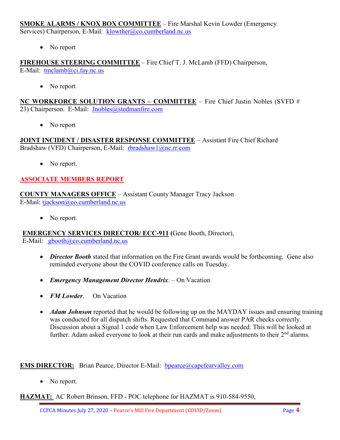**SMOKE ALARMS / KNOX BOX COMMITTEE** – Fire Marshal Kevin Lowder (Emergency Services) Chairperson, E-Mail: [klowther@co.cumberland.nc.us](mailto:klowther@co.cumberland.nc.us)

• No report

**FIREHOUSE STEERING COMMITTEE** – Fire Chief T. J. McLamb (FFD) Chairperson, E-Mail: [tmclamb@ci.fay.nc.us](mailto:tmclamb@ci.fay.nc.us)

• No report

**NC WORKFORCE SOLUTION GRANTS – COMMITTEE** – Fire Chief Justin Nobles (SVFD # 23) Chairperson. E-Mail: [Jnobles@stedmanfire.com](mailto:Jnobles@stedmanfire.com)

• No report

**JOINT INCIDENT / DISASTER RESPONSE COMMITTEE** – Assistant Fire Chief Richard Bradshaw (VFD) Chairperson, E-Mail: [rbradshaw1@nc.rr.com](mailto:rbradshaw1@nc.rr.com)

• No report.

## **ASSOCIATE MEMBERS REPORT**

**COUNTY MANAGERS OFFICE** – Assistant County Manager Tracy Jackson E-Mail: [tjackson@co.cumberland.nc.us](mailto:tjackson@co.cumberland.nc.us)

• No report.

**EMERGENCY SERVICES DIRECTOR/ ECC-911 (**Gene Booth, Director),

E-Mail:  $\text{gbooth}(\widehat{a}/\text{co.cumberland}.\text{nc.us})$ 

- *Director Booth* stated that information on the Fire Grant awards would be forthcoming. Gene also reminded everyone about the COVID conference calls on Tuesday.
- *Emergency Management Director Hendrix*. On Vacation
- *FM Lowder*. On Vacation
- *Adam Johnson* reported that he would be following up on the MAYDAY issues and ensuring training was conducted for all dispatch shifts. Requested that Command answer PAR checks correctly. Discussion about a Signal 1 code when Law Enforcement help was needed. This will be looked at further. Adam asked everyone to look at their run cards and make adjustments to their  $2<sup>nd</sup>$  alarms.

**EMS DIRECTOR:** Brian Pearce, Director E-Mail: bpearce@capefearvalley.com

• No report.

**HAZMAT:** AC Robert Brinson, FFD - POC telephone for HAZMAT is 910-584-9550,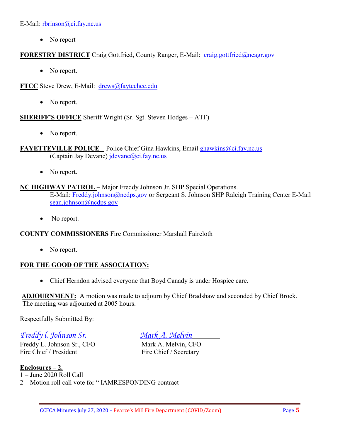E-Mail: [rbrinson@ci.fay.nc.us](mailto:rbrinson@ci.fay.nc.us)

• No report

## **FORESTRY DISTRICT** Craig Gottfried, County Ranger, E-Mail: [craig.gottfried@ncagr.gov](mailto:craig.gottfried@ncagr.gov)

• No report.

**FTCC** Steve Drew, E-Mail: [drews@faytechcc.edu](mailto:drews@faytechcc.edu)

• No report.

**SHERIFF'S OFFICE** Sheriff Wright (Sr. Sgt. Steven Hodges – ATF)

• No report.

**FAYETTEVILLE POLICE –** Police Chief Gina Hawkins, Email [ghawkins@ci.fay.nc.us](mailto:ghawkins@ci.fay.nc.us)  (Captain Jay Devane)  $idevane@ci.fay.nc.us$ 

• No report.

## **NC HIGHWAY PATROL** – Major Freddy Johnson Jr. SHP Special Operations. E-Mail: [Freddy.johnson@ncdps.gov](mailto:Freddy.johnson@ncdps.gov) or Sergeant S. Johnson SHP Raleigh Training Center E-Mail [sean.johnson@ncdps.gov](mailto:sean.johnson@ncdps.gov)

• No report.

## **COUNTY COMMISSIONERS** Fire Commissioner Marshall Faircloth

• No report.

## **FOR THE GOOD OF THE ASSOCIATION:**

• Chief Herndon advised everyone that Boyd Canady is under Hospice care.

**ADJOURNMENT:** A motion was made to adjourn by Chief Bradshaw and seconded by Chief Brock. The meeting was adjourned at 2005 hours.

Respectfully Submitted By:

*Freddy l. Johnson Sr. Mark A. Melvin*

Freddy L. Johnson Sr., CFO<br>
Fire Chief / President<br>
Fire Chief / Secretary

Fire Chief / Secretary

**Enclosures – 2.** 1 – June 2020 Roll Call

2 – Motion roll call vote for " IAMRESPONDING contract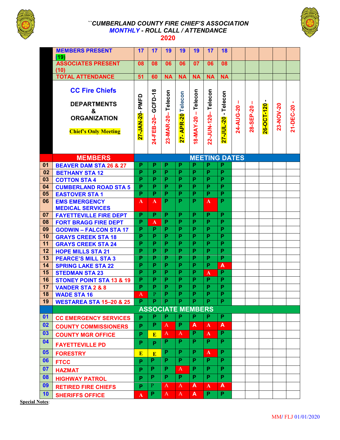

#### *``CUMBERLAND COUNTY FIRE CHIEF'S ASSOCIATION MONTHLY - ROLL CALL / ATTENDANCE*  **2020**



|          | <b>MEMBERS PRESENT</b>                                         | 17                           | 17                                        | 19                           | 19                           | 19                           | 17                                        | 18                                        |           |           |            |           |           |
|----------|----------------------------------------------------------------|------------------------------|-------------------------------------------|------------------------------|------------------------------|------------------------------|-------------------------------------------|-------------------------------------------|-----------|-----------|------------|-----------|-----------|
|          | (19)                                                           |                              |                                           |                              |                              |                              |                                           |                                           |           |           |            |           |           |
|          | <b>ASSOCIATES PRESENT</b><br>(10)                              | 08                           | 08                                        | 06                           | 06                           | 07                           | 06                                        | 08                                        |           |           |            |           |           |
|          | <b>TOTAL ATTENDANCE</b>                                        | 51                           | 60                                        | <b>NA</b>                    | <b>NA</b>                    | <b>NA</b>                    | <b>NA</b>                                 | <b>NA</b>                                 |           |           |            |           |           |
|          |                                                                |                              |                                           |                              |                              |                              |                                           |                                           |           |           |            |           |           |
|          | <b>CC Fire Chiefs</b>                                          |                              |                                           |                              |                              |                              |                                           |                                           |           |           |            |           |           |
|          |                                                                |                              |                                           |                              |                              |                              |                                           |                                           |           |           | ٠          |           |           |
|          | <b>DEPARTMENTS</b>                                             |                              | GCFD-18                                   | 23-MAR-20-Telecon            | 27- APR-20 Telecon           | Telecon                      | 22-JUN-120-Telecon                        | 27-JUL-20 - Telecon                       | ш         | ш         |            |           | ٠         |
|          | $\mathbf{g}$                                                   | PMFD                         |                                           |                              |                              |                              |                                           |                                           | 24-AUG-20 | 28-SEP-20 | 26-OCT-120 | 23-NOV-20 | 21-DEC-20 |
|          | <b>ORGANIZATION</b>                                            |                              | 24-FEB-20-                                |                              |                              | $18-MAY-20 -$                |                                           |                                           |           |           |            |           |           |
|          | <b>Chief's Only Meeting</b>                                    |                              |                                           |                              |                              |                              |                                           |                                           |           |           |            |           |           |
|          |                                                                | 27-JAN-20-                   |                                           |                              |                              |                              |                                           |                                           |           |           |            |           |           |
|          |                                                                |                              |                                           |                              |                              |                              |                                           |                                           |           |           |            |           |           |
|          |                                                                |                              |                                           |                              |                              |                              |                                           |                                           |           |           |            |           |           |
|          | <b>MEMBERS</b>                                                 |                              |                                           |                              |                              |                              |                                           | <b>MEETING DATES</b>                      |           |           |            |           |           |
| 01       | <b>BEAVER DAM STA 26 &amp; 27</b>                              | P                            | P                                         | P                            | P                            | P                            | P                                         | P                                         |           |           |            |           |           |
| .02      | <b>BETHANY STA 12</b>                                          | $\overline{\mathsf{P}}$      | $\overline{\mathsf{P}}$<br>$\overline{P}$ | $\overline{\mathsf{P}}$      | $\overline{\mathsf{P}}$      | $\overline{\mathsf{P}}$      | $\overline{\mathsf{P}}$                   | $\overline{\mathsf{P}}$<br>$\overline{P}$ |           |           |            |           |           |
| 03       | <b>COTTON STA 4</b>                                            | P<br>$\overline{P}$          | $\overline{P}$                            | P<br>$\overline{\mathsf{P}}$ | P<br>$\overline{P}$          | P<br>$\overline{P}$          | P<br>$\overline{P}$                       | $\overline{\mathsf{P}}$                   |           |           |            |           |           |
| 04<br>05 | <b>CUMBERLAND ROAD STA 5</b><br><b>EASTOVER STA1</b>           | $\overline{\mathsf{P}}$      | $\overline{\mathsf{P}}$                   | $\overline{\mathsf{P}}$      | $\overline{\mathsf{P}}$      | $\overline{\mathsf{P}}$      | $\overline{\mathsf{P}}$                   | $\overline{\mathsf{P}}$                   |           |           |            |           |           |
| 06       | <b>EMS EMERGENCY</b>                                           | A                            | A                                         | P                            | P                            | P                            | $\mathbf{A}$                              | P                                         |           |           |            |           |           |
|          | <b>MEDICAL SERVICES</b>                                        |                              |                                           |                              |                              |                              |                                           |                                           |           |           |            |           |           |
| 07       | <b>FAYETTEVILLE FIRE DEPT</b>                                  | P                            | P                                         | P                            | P                            | P                            | P                                         | P                                         |           |           |            |           |           |
| 08       | <b>FORT BRAGG FIRE DEPT</b>                                    | P                            | $\mathbf{A}$                              | P                            | P                            | $\overline{P}$               | $\overline{\mathsf{P}}$                   | $\overline{P}$                            |           |           |            |           |           |
| 09       | <b>GODWIN - FALCON STA 17</b>                                  | P                            | $\overline{P}$                            | P                            | P                            | $\overline{P}$               | $\overline{P}$                            | P                                         |           |           |            |           |           |
| 10       | <b>GRAYS CREEK STA 18</b>                                      | P                            | P                                         | P                            | P                            | P                            | P                                         | P                                         |           |           |            |           |           |
| 11       | <b>GRAYS CREEK STA 24</b>                                      | $\overline{P}$               | $\overline{\mathsf{P}}$                   | $\overline{\mathsf{P}}$      | $\overline{P}$               | $\overline{P}$               | $\overline{P}$                            | $\overline{\mathsf{P}}$                   |           |           |            |           |           |
| 12       | <b>HOPE MILLS STA 21</b>                                       | P                            | P                                         | P                            | P                            | $\overline{P}$               | $\overline{P}$                            | $\overline{\mathsf{P}}$                   |           |           |            |           |           |
| 13       | <b>PEARCE'S MILL STA 3</b>                                     | P                            | P                                         | P                            | P                            | P                            | P                                         | P                                         |           |           |            |           |           |
| 14       | <b>SPRING LAKE STA 22</b>                                      | $\overline{\mathsf{P}}$      | $\overline{P}$                            | $\overline{\mathsf{P}}$      | $\overline{\mathsf{P}}$      | $\overline{P}$               | $\overline{\mathsf{P}}$                   | A                                         |           |           |            |           |           |
| 15       | <b>STEDMAN STA 23</b>                                          | P                            | $\overline{P}$                            | P                            | P                            | P                            | $\mathbf A$                               | $\overline{P}$                            |           |           |            |           |           |
| 16       | <b>STONEY POINT STA 13 &amp; 19</b>                            | P<br>$\overline{\mathsf{P}}$ | P<br>$\overline{\mathsf{P}}$              | P<br>$\overline{\mathsf{P}}$ | P<br>$\overline{\mathsf{P}}$ | P<br>$\overline{\mathsf{P}}$ | $\overline{P}$<br>$\overline{\mathsf{P}}$ | P<br>$\overline{\mathsf{P}}$              |           |           |            |           |           |
| 17<br>18 | <b>VANDER STA 2 &amp; 8</b>                                    |                              | $\overline{P}$                            | $\overline{\mathsf{P}}$      | Ó                            | Ó                            | $\overline{\mathsf{P}}$                   | $\overline{\phantom{a}}$                  |           |           |            |           |           |
| 19       | <b>WADE STA 16</b>                                             | $A^-$<br>P.                  | P                                         | P                            | P                            | P                            | P                                         | $\overline{P}$                            |           |           |            |           |           |
|          | <b>WESTAREA STA 15-20 &amp; 25</b><br><b>ASSOCIATE MEMBERS</b> |                              |                                           |                              |                              |                              |                                           |                                           |           |           |            |           |           |
| 01       |                                                                |                              |                                           |                              |                              |                              |                                           |                                           |           |           |            |           |           |
|          |                                                                |                              |                                           | P                            |                              |                              |                                           |                                           |           |           |            |           |           |
|          | <b>CC EMERGENCY SERVICES</b>                                   | P.                           | P                                         |                              | P                            | P                            | P.                                        | P                                         |           |           |            |           |           |
| 02       | <b>COUNTY COMMISSIONERS</b>                                    | P                            | P                                         | A                            | P                            | A                            | $\mathbf{A}$                              | A                                         |           |           |            |           |           |
| 03       | <b>COUNTY MGR OFFICE</b>                                       | P                            | E                                         | $\mathbf{A}$                 | $\mathbf{A}$                 | $\overline{P}$               | $\overline{\mathbf{A}}$                   | $\overline{P}$                            |           |           |            |           |           |
| 04       | <b>FAYETTEVILLE PD</b>                                         | P                            | P                                         | P                            | P                            | P                            | P.                                        | P                                         |           |           |            |           |           |
| 05       | <b>FORESTRY</b>                                                | E                            | E                                         | P                            | P                            | P                            | $\mathbf{A}$                              | P                                         |           |           |            |           |           |
| 06       | <b>FTCC</b>                                                    | P                            | P                                         | P                            | P                            | P                            | P.                                        | P                                         |           |           |            |           |           |
| 07       | <b>HAZMAT</b>                                                  | P                            | P                                         | P                            | A                            | P                            | P                                         | P                                         |           |           |            |           |           |
| 08       |                                                                | P                            | P                                         | P                            | P                            | P                            | P                                         | P                                         |           |           |            |           |           |
| 09       | <b>HIGHWAY PATROL</b><br><b>RETIRED FIRE CHIEFS</b>            | P                            | $\mathbf{P}$                              | A                            | A                            | A                            | $\mathbf{A}$                              | A                                         |           |           |            |           |           |

**Special Notes**: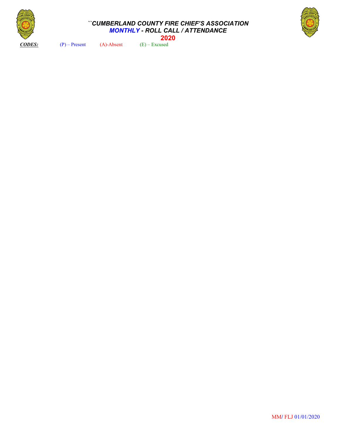

#### *``CUMBERLAND COUNTY FIRE CHIEF'S ASSOCIATION MONTHLY - ROLL CALL / ATTENDANCE*  **2020**



*CODES:* (P) – Present (A)-Absent (E) – Excused

MM**/** FLJ 01/01/2020